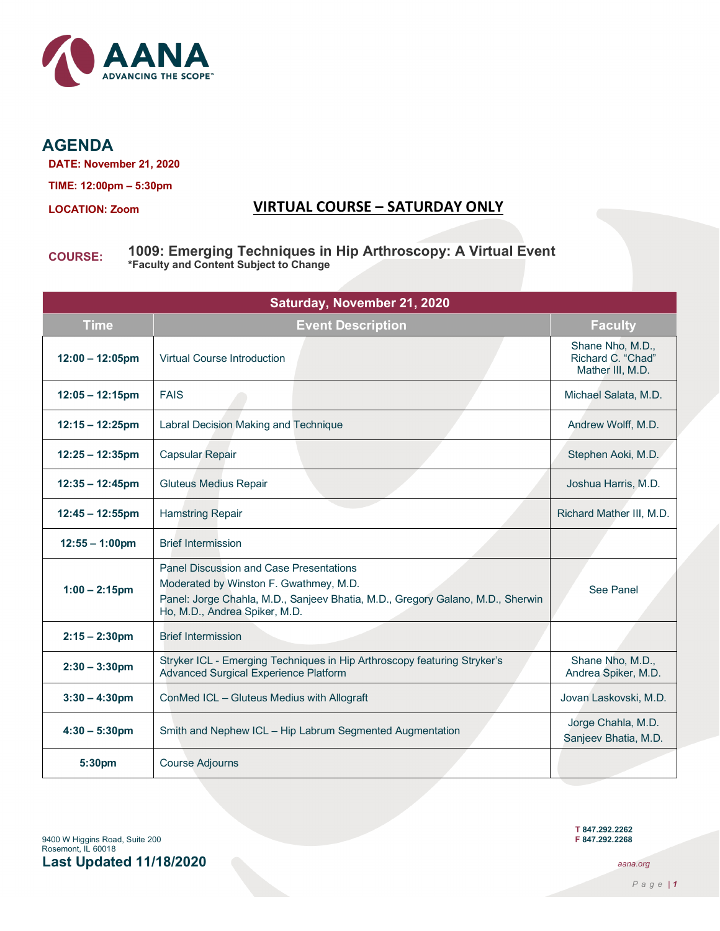

**AGENDA**

**DATE: November 21, 2020**

**TIME: 12:00pm – 5:30pm**

## **LOCATION: Zoom VIRTUAL COURSE – SATURDAY ONLY**

# **COURSE: 1009: Emerging Techniques in Hip Arthroscopy: A Virtual Event \*Faculty and Content Subject to Change**

| Saturday, November 21, 2020 |                                                                                                                                                                                                             |                                                           |
|-----------------------------|-------------------------------------------------------------------------------------------------------------------------------------------------------------------------------------------------------------|-----------------------------------------------------------|
| <b>Time</b>                 | <b>Event Description</b>                                                                                                                                                                                    | <b>Faculty</b>                                            |
| $12:00 - 12:05$ pm          | <b>Virtual Course Introduction</b>                                                                                                                                                                          | Shane Nho, M.D.,<br>Richard C. "Chad"<br>Mather III, M.D. |
| $12:05 - 12:15$ pm          | <b>FAIS</b>                                                                                                                                                                                                 | Michael Salata, M.D.                                      |
| $12:15 - 12:25$ pm          | Labral Decision Making and Technique                                                                                                                                                                        | Andrew Wolff, M.D.                                        |
| $12:25 - 12:35$ pm          | <b>Capsular Repair</b>                                                                                                                                                                                      | Stephen Aoki, M.D.                                        |
| $12:35 - 12:45$ pm          | <b>Gluteus Medius Repair</b>                                                                                                                                                                                | Joshua Harris, M.D.                                       |
| $12:45 - 12:55$ pm          | <b>Hamstring Repair</b>                                                                                                                                                                                     | Richard Mather III, M.D.                                  |
| $12:55 - 1:00 \text{pm}$    | <b>Brief Intermission</b>                                                                                                                                                                                   |                                                           |
| $1:00 - 2:15$ pm            | <b>Panel Discussion and Case Presentations</b><br>Moderated by Winston F. Gwathmey, M.D.<br>Panel: Jorge Chahla, M.D., Sanjeev Bhatia, M.D., Gregory Galano, M.D., Sherwin<br>Ho, M.D., Andrea Spiker, M.D. | See Panel                                                 |
| $2:15 - 2:30$ pm            | <b>Brief Intermission</b>                                                                                                                                                                                   |                                                           |
| $2:30 - 3:30$ pm            | Stryker ICL - Emerging Techniques in Hip Arthroscopy featuring Stryker's<br><b>Advanced Surgical Experience Platform</b>                                                                                    | Shane Nho, M.D.,<br>Andrea Spiker, M.D.                   |
| $3:30 - 4:30$ pm            | ConMed ICL - Gluteus Medius with Allograft                                                                                                                                                                  | Jovan Laskovski, M.D.                                     |
| $4:30 - 5:30$ pm            | Smith and Nephew ICL - Hip Labrum Segmented Augmentation                                                                                                                                                    | Jorge Chahla, M.D.<br>Sanjeev Bhatia, M.D.                |
| 5:30pm                      | <b>Course Adjourns</b>                                                                                                                                                                                      |                                                           |

**T 847.292.2262**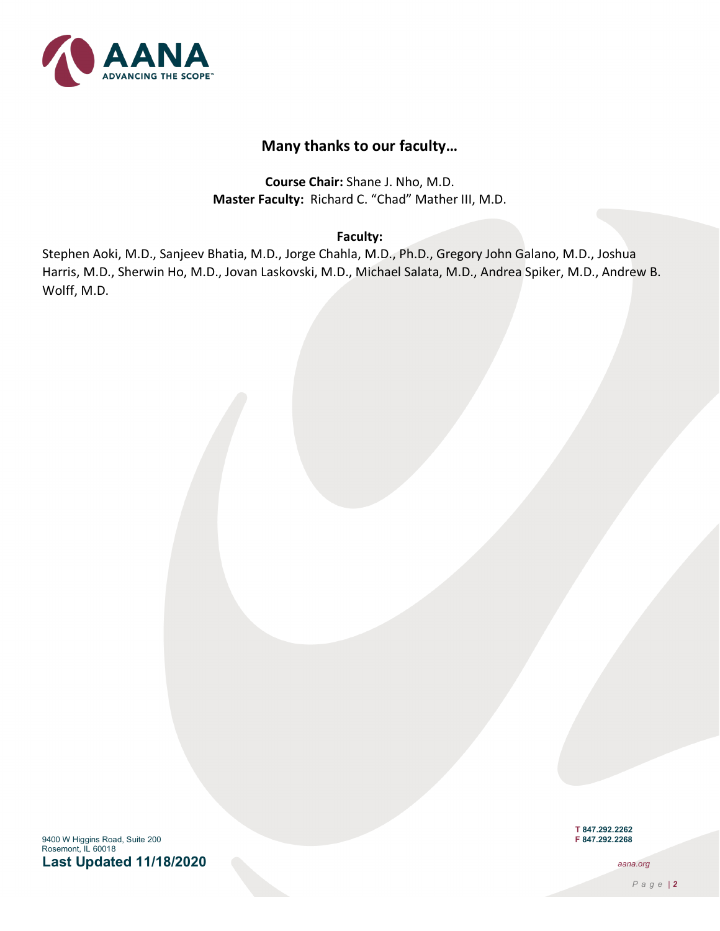

# **Many thanks to our faculty…**

**Course Chair:** Shane J. Nho, M.D. **Master Faculty:** Richard C. "Chad" Mather III, M.D.

#### **Faculty:**

Stephen Aoki, M.D., Sanjeev Bhatia, M.D., Jorge Chahla, M.D., Ph.D., Gregory John Galano, M.D., Joshua Harris, M.D., Sherwin Ho, M.D., Jovan Laskovski, M.D., Michael Salata, M.D., Andrea Spiker, M.D., Andrew B. Wolff, M.D.

9400 W Higgins Road, Suite 200 **F 847.292.2268** Rosemont, IL 60018 **Last Updated 11/18/2020** *aana.org*

**T 847.292.2262**

*Page | 2*